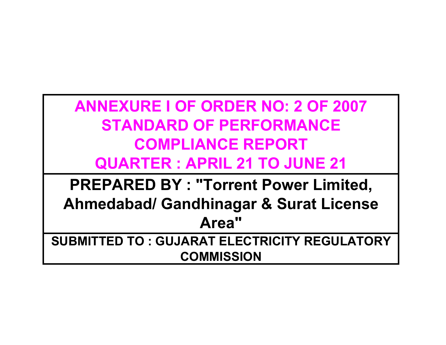**ANNEXURE I OF ORDER NO: 2 OF 2007STANDARD OF PERFORMANCECOMPLIANCE REPORTQUARTER : APRIL 21 TO JUNE 21**

**PREPARED BY : "Torrent Power Limited, Ahmedabad/ Gandhinagar & Surat License Area"SUBMITTED TO : GUJARAT ELECTRICITY REGULATORY** 

**COMMISSION**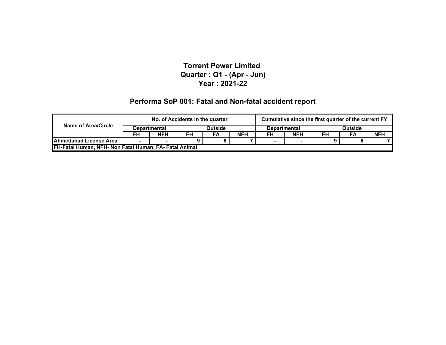#### **Performa SoP 001: Fatal and Non-fatal accident report**

|                                                        |                     | No. of Accidents in the quarter |         |    |                     |    | Cumulative since the first quarter of the current FY |    |    |            |
|--------------------------------------------------------|---------------------|---------------------------------|---------|----|---------------------|----|------------------------------------------------------|----|----|------------|
| Name of Area/Circle                                    | <b>Departmental</b> |                                 | Outside |    | <b>Departmental</b> |    | <b>Outside</b>                                       |    |    |            |
|                                                        | FH                  | <b>NFH</b>                      | FH      | FA | <b>NFH</b>          | FH | <b>NFH</b>                                           | FH | FA | <b>NFH</b> |
| Ahmedabad License Area                                 |                     |                                 |         |    |                     |    |                                                      | Ω  |    |            |
| FH-Fatal Human, NFH- Non Fatal Human, FA- Fatal Animal |                     |                                 |         |    |                     |    |                                                      |    |    |            |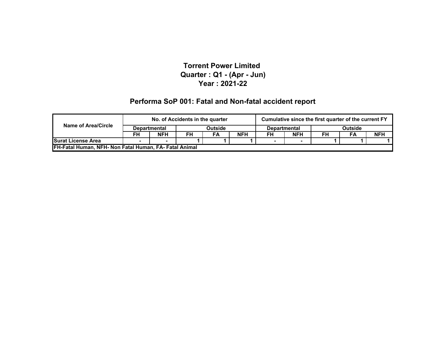#### **Performa SoP 001: Fatal and Non-fatal accident report**

|                                                        |    | No. of Accidents in the quarter |         |    |            | Cumulative since the first quarter of the current FY |            |                |    |            |
|--------------------------------------------------------|----|---------------------------------|---------|----|------------|------------------------------------------------------|------------|----------------|----|------------|
| Name of Area/Circle<br><b>Departmental</b>             |    |                                 | Outside |    |            | <b>Departmental</b>                                  |            | <b>Outside</b> |    |            |
|                                                        | FH | <b>NFH</b>                      | FH      | FA | <b>NFH</b> | FH                                                   | <b>NFH</b> | FH             | FA | <b>NFH</b> |
| <b>Surat License Area</b>                              |    |                                 |         |    |            |                                                      |            |                |    |            |
| FH-Fatal Human, NFH- Non Fatal Human, FA- Fatal Animal |    |                                 |         |    |            |                                                      |            |                |    |            |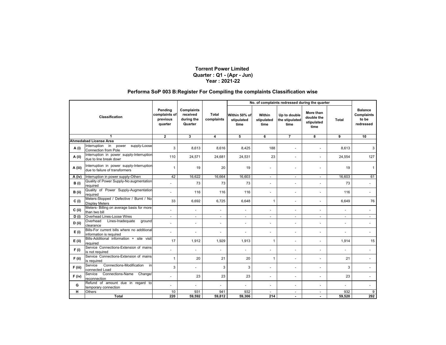#### **Performa SoP 003 B:Register For Compiling the complaints Classification wise**

|          |                                                                             |                                                 |                                                        |                            |                                     |                              | No. of complaints redressed during the quarter |                                               |        |                                                           |
|----------|-----------------------------------------------------------------------------|-------------------------------------------------|--------------------------------------------------------|----------------------------|-------------------------------------|------------------------------|------------------------------------------------|-----------------------------------------------|--------|-----------------------------------------------------------|
|          | <b>Classification</b>                                                       | Pending<br>complaints of<br>previous<br>quarter | <b>Complaints</b><br>received<br>during the<br>Quarter | <b>Total</b><br>complaints | Within 50% of<br>stipulated<br>time | Within<br>stipulated<br>time | Up to double<br>the stipulated<br>time         | More than<br>double the<br>stipulated<br>time | Total  | <b>Balance</b><br><b>Complaints</b><br>to be<br>redressed |
|          | 1                                                                           | $\overline{2}$                                  | $\overline{\mathbf{3}}$                                | 4                          | 5                                   | 6                            | $\overline{7}$                                 | 8                                             | 9      | 10                                                        |
|          | <b>Ahmedabad License Area</b>                                               |                                                 |                                                        |                            |                                     |                              |                                                |                                               |        |                                                           |
| A (i)    | Interruption in power<br>supply-Loose<br><b>Connection from Pole</b>        | 3                                               | 8.613                                                  | 8.616                      | 8,425                               | 188                          | $\blacksquare$                                 |                                               | 8,613  | 3                                                         |
| A (ii)   | Interruption in power supply-Interruption<br>due to line break down         | 110                                             | 24,571                                                 | 24,681                     | 24,531                              | 23                           | ÷.                                             | ÷                                             | 24,554 | 127                                                       |
| A (iii)  | Interruption in power supply-Interruption<br>due to failure of transformers | $\mathbf{1}$                                    | 19                                                     | 20                         | 19                                  |                              |                                                |                                               | 19     | $\mathbf{1}$                                              |
| A (iv)   | Interruption in power supply-Others                                         | 42                                              | 16,622                                                 | 16,664                     | 16,603                              | $\sim$                       | $\blacksquare$                                 | ÷                                             | 16,603 | 61                                                        |
| B(i)     | Quality of Power Supply-No augmentation<br>reauired                         |                                                 | 73                                                     | 73                         | 73                                  | ä,                           |                                                |                                               | 73     |                                                           |
| B (ii)   | Quality of Power Supply-Augmentation<br>reauired                            | ÷                                               | 116                                                    | 116                        | 116                                 | $\overline{a}$               | ÷                                              | $\sim$                                        | 116    |                                                           |
| C(i)     | Meters-Stopped / Defective / Burnt / No<br><b>Display Meters</b>            | 33                                              | 6,692                                                  | 6,725                      | 6,648                               | 1                            | ٠                                              | ٠                                             | 6,649  | 76                                                        |
| $C$ (ii) | Meters- Billing on average basis for more<br>than two bill                  | $\overline{a}$                                  |                                                        |                            |                                     | $\overline{a}$               | $\blacksquare$                                 | $\blacksquare$                                |        |                                                           |
| D(i)     | Overhead Lines-Loose Wires                                                  | $\blacksquare$                                  | ÷                                                      | $\mathbf{r}$               | $\sim$                              | $\sim$                       | $\blacksquare$                                 | ÷                                             | $\sim$ | $\sim$                                                    |
| D(i)     | Lines-Inadequate<br>Overhead<br>ground<br>clearance                         | ä,                                              | ÷.                                                     |                            | ÷.                                  | L.                           | ä,                                             | ÷                                             |        |                                                           |
| E(i)     | Bills-For current bills where no additional<br>information is required      | ٠                                               | $\overline{a}$                                         |                            |                                     | $\overline{a}$               | ٠                                              | $\overline{\phantom{a}}$                      |        |                                                           |
| E (ii)   | Bills-Additional information + site visit<br>required                       | 17                                              | 1,912                                                  | 1,929                      | 1,913                               | $\mathbf{1}$                 | ÷.                                             | ÷                                             | 1,914  | 15                                                        |
| F(i)     | Service Connections-Extension of mains<br>is not required                   | $\overline{a}$                                  |                                                        |                            | $\mathbf{r}$                        | ÷.                           | $\blacksquare$                                 | $\blacksquare$                                | $\sim$ |                                                           |
| $F$ (ii) | Service Connections-Extension of mains<br>is required                       | $\mathbf{1}$                                    | 20                                                     | 21                         | 20                                  | $\mathbf{1}$                 | ÷.                                             |                                               | 21     |                                                           |
| F (iii)  | Connections-Modification<br>Service<br>in<br>connected Load                 | 3                                               | ٠                                                      | 3                          | 3                                   | ÷.                           | ٠                                              | ٠                                             | 3      |                                                           |
| $F$ (iv) | Service Connections-Name Change/<br>reconnection                            |                                                 | 23                                                     | 23                         | 23                                  | ä,                           | ÷.                                             | $\sim$                                        | 23     |                                                           |
| G        | Refund of amount due in regard to<br>temporary connection                   | $\overline{\phantom{a}}$                        | $\overline{\phantom{a}}$                               |                            |                                     |                              |                                                |                                               |        |                                                           |
| н        | Others                                                                      | 10                                              | 931                                                    | 941                        | 932                                 | $\sim$                       | $\overline{\phantom{a}}$                       | $\blacksquare$                                | 932    | 9                                                         |
|          | Total                                                                       | 220                                             | 59,592                                                 | 59,812                     | 59.306                              | 214                          |                                                |                                               | 59.520 | 292                                                       |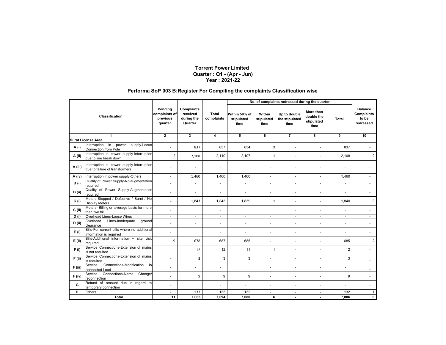#### **Performa SoP 003 B:Register For Compiling the complaints Classification wise**

|           |                                                                             |                                                 |                                                        |                            |                                     |                              | No. of complaints redressed during the quarter |                                               |        |                                                           |
|-----------|-----------------------------------------------------------------------------|-------------------------------------------------|--------------------------------------------------------|----------------------------|-------------------------------------|------------------------------|------------------------------------------------|-----------------------------------------------|--------|-----------------------------------------------------------|
|           | <b>Classification</b>                                                       | Pending<br>complaints of<br>previous<br>quarter | <b>Complaints</b><br>received<br>during the<br>Quarter | <b>Total</b><br>complaints | Within 50% of<br>stipulated<br>time | Within<br>stipulated<br>time | Up to double<br>the stipulated<br>time         | More than<br>double the<br>stipulated<br>time | Total  | <b>Balance</b><br><b>Complaints</b><br>to be<br>redressed |
|           | 1                                                                           | $\overline{2}$                                  | 3                                                      | 4                          | 5                                   | 6                            | $\overline{7}$                                 | 8                                             | 9      | 10                                                        |
|           | <b>Surat License Area</b>                                                   |                                                 |                                                        |                            |                                     |                              |                                                |                                               |        |                                                           |
| A (i)     | Interruption in power<br>supply-Loose<br>Connection from Pole               |                                                 | 837                                                    | 837                        | 834                                 | 3                            |                                                |                                               | 837    |                                                           |
| A (ii)    | Interruption in power supply-Interruption<br>due to line break down         | $\overline{2}$                                  | 2,108                                                  | 2,110                      | 2,107                               | 1                            | ä,                                             |                                               | 2,108  | 2                                                         |
| A (iii)   | Interruption in power supply-Interruption<br>due to failure of transformers |                                                 |                                                        |                            |                                     |                              |                                                |                                               |        |                                                           |
| A (iv)    | Interruption in power supply-Others                                         | $\blacksquare$                                  | 1,460                                                  | 1,460                      | 1,460                               | $\blacksquare$               | $\blacksquare$                                 | ٠                                             | 1,460  |                                                           |
| B(i)      | Quality of Power Supply-No augmentation<br>reauired                         |                                                 |                                                        |                            |                                     | $\blacksquare$               |                                                |                                               |        |                                                           |
| B (ii)    | Quality of Power Supply-Augmentation<br>required                            | ÷                                               | $\sim$                                                 |                            | $\sim$                              | $\blacksquare$               | $\sim$                                         |                                               | $\sim$ |                                                           |
| C(i)      | Meters-Stopped / Defective / Burnt / No<br><b>Display Meters</b>            | ÷.                                              | 1,843                                                  | 1,843                      | 1,839                               | 1                            | ٠                                              | $\sim$                                        | 1,840  | 3                                                         |
| $C$ (ii)  | Meters- Billing on average basis for more<br>than two bill                  | $\overline{\phantom{a}}$                        |                                                        |                            |                                     |                              |                                                |                                               |        |                                                           |
| D(i)      | Overhead Lines-Loose Wires                                                  | $\blacksquare$                                  | $\overline{\phantom{a}}$                               | $\sim$                     | $\overline{\phantom{a}}$            | $\sim$                       | $\sim$                                         | $\sim$                                        | $\sim$ | $\sim$                                                    |
| $D$ (ii)  | Overhead<br>Lines-Inadequate<br>ground<br>clearance                         | ÷.                                              | $\sim$                                                 |                            | $\overline{a}$                      | $\blacksquare$               | $\overline{a}$                                 | $\blacksquare$                                |        |                                                           |
| E(i)      | Bills-For current bills where no additional<br>information is required      | ÷.                                              |                                                        |                            | ÷                                   | ÷                            |                                                |                                               |        |                                                           |
| $E$ (ii)  | Bills-Additional information + site visit<br>reauired                       | 9                                               | 678                                                    | 687                        | 685                                 | ÷                            | ä,                                             |                                               | 685    | $\overline{2}$                                            |
| F(i)      | Service Connections-Extension of mains<br>is not required                   |                                                 | 12                                                     | 12                         | 11                                  | 1                            | $\overline{a}$                                 |                                               | 12     |                                                           |
| $F$ (ii)  | Service Connections-Extension of mains<br>is required                       |                                                 | 3                                                      | 3                          | 3                                   | ÷.                           |                                                |                                               | 3      |                                                           |
| $F$ (iii) | Connections-Modification<br>Service<br>in<br>connected Load                 |                                                 |                                                        |                            |                                     | $\blacksquare$               | ٠                                              |                                               |        |                                                           |
| $F$ (iv)  | Connections-Name Change/<br>Service<br>reconnection                         |                                                 | 9                                                      | 9                          | 9                                   | ÷                            | ä,                                             |                                               | 9      |                                                           |
| G         | Refund of amount due in regard to<br>temporary connection                   | ÷.                                              |                                                        |                            |                                     | ä,                           | ٠                                              | $\blacksquare$                                |        |                                                           |
| н         | <b>Others</b>                                                               | ٠                                               | 133                                                    | 133                        | 132                                 | ٠                            | $\blacksquare$                                 | $\blacksquare$                                | 132    |                                                           |
|           | Total                                                                       | 11                                              | 7.083                                                  | 7.094                      | 7.080                               | 6                            |                                                |                                               | 7.086  | 8                                                         |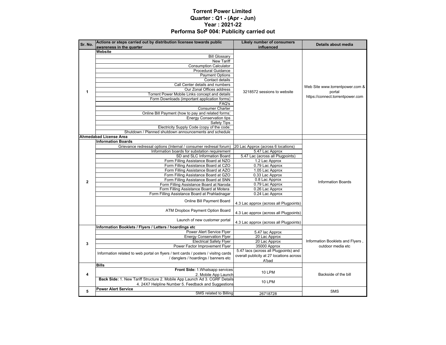#### **Torrent Power Limited Quarter : Q1 - (Apr - Jun) Year : 2021-22 Performa SoP 004: Publicity carried out**

| Sr. No.        | Actions or steps carried out by distribution licensee towards public<br>awareness in the quarter | <b>Likely number of consumers</b><br>influenced | Details about media              |  |
|----------------|--------------------------------------------------------------------------------------------------|-------------------------------------------------|----------------------------------|--|
|                | Website                                                                                          |                                                 |                                  |  |
|                | <b>Bill Glossary</b>                                                                             |                                                 |                                  |  |
|                | <b>New Tariff</b>                                                                                |                                                 |                                  |  |
|                | <b>Consumption Calculator</b>                                                                    |                                                 |                                  |  |
|                | <b>Procedural Guidance</b>                                                                       |                                                 |                                  |  |
|                | <b>Payment Options</b>                                                                           |                                                 |                                  |  |
|                | Contact details                                                                                  |                                                 |                                  |  |
|                | Call Center details and numbers                                                                  |                                                 |                                  |  |
|                |                                                                                                  |                                                 | Web Site www.torrentpower.com &  |  |
| $\mathbf 1$    | Our Zonal Offices address                                                                        | 3218572 sessions to website                     | portal                           |  |
|                | Torrent Power Mobile Links concept and details                                                   |                                                 | https://connect.torrentpower.com |  |
|                | Form Downloads (important application forms)                                                     |                                                 |                                  |  |
|                | FAQ's                                                                                            |                                                 |                                  |  |
|                | <b>Consumer Charter</b>                                                                          |                                                 |                                  |  |
|                | Online Bill Payment (how to pay and related forms)                                               |                                                 |                                  |  |
|                | <b>Energy Conservation tips</b>                                                                  |                                                 |                                  |  |
|                | <b>Safety Tips</b>                                                                               |                                                 |                                  |  |
|                | Electricity Supply Code (copy of the code)                                                       |                                                 |                                  |  |
|                | Shutdown / Planned shutdown announcements and schedule                                           |                                                 |                                  |  |
|                | <b>Ahmedabad License Area</b>                                                                    |                                                 |                                  |  |
|                | <b>Information Boards</b>                                                                        |                                                 |                                  |  |
|                | Grievance redressal options (Internal / consumer redresal forum)                                 | 20 Lac Approx (across 6 locations)              |                                  |  |
|                | Information boards for substation requirement                                                    | 5.47 Lac Approx                                 |                                  |  |
|                | SD and SLC Information Board                                                                     | 5.47 Lac (across all Plugpoints)                |                                  |  |
|                | Form Filling Assistance Board at NZO                                                             | 1.2 Lac Approx                                  |                                  |  |
|                | Form Filling Assistance Board at CZO                                                             | 0.79 Lac Approx                                 |                                  |  |
|                | Form Filling Assistance Board at AZO                                                             | 1.05 Lac Approx                                 |                                  |  |
|                | Form Filling Assistance Board at GZO                                                             | 0.33 Lac Approx                                 |                                  |  |
|                | Form Filling Assistance Board at SNN                                                             | 0.8 Lac Approx                                  |                                  |  |
| $\overline{2}$ | Form Filling Assistance Board at Naroda                                                          | 0.79 Lac Approx                                 | <b>Information Boards</b>        |  |
|                | Form Filling Assistance Board at Motera                                                          | 0.26 Lac Approx                                 |                                  |  |
|                | Form Filling Assistance Board at Prahladnagar                                                    | 0.24 Lac Approx                                 |                                  |  |
|                | Online Bill Payment Board                                                                        | 4.3 Lac approx (across all Plugpoints)          |                                  |  |
|                | ATM Dropbox Payment Option Board                                                                 | 4.3 Lac approx (across all Plugpoints)          |                                  |  |
|                | Launch of new customer portal                                                                    | 4.3 Lac approx (across all Plugpoints)          |                                  |  |
|                | Information Booklets / Flyers / Letters / hoardings etc                                          |                                                 |                                  |  |
|                | Power Alert Service Flyer                                                                        | 5.47 lac Approx                                 |                                  |  |
|                | <b>Energy Conservation Flyer</b>                                                                 | 20 Lac Approx                                   |                                  |  |
| 3              | <b>Electrical Safety Flyer</b>                                                                   | 20 Lac Approx                                   | Information Booklets and Flyers, |  |
|                | Power Factor Improvement Flyer                                                                   | 35000 Approx                                    | outdoor media etc                |  |
|                | Information related to web portal on flyers / tent cards / posters / visitng cards               | 5.47 lacs (across all Plugpoints) and           |                                  |  |
|                | / danglers / hoardings / banners etc                                                             | overall publicity at 27 locations across        |                                  |  |
|                |                                                                                                  | A'bad                                           |                                  |  |
|                | <b>Bills</b>                                                                                     |                                                 |                                  |  |
|                | Front Side: 1. Whatsapp services                                                                 | <b>10 LPM</b>                                   |                                  |  |
| 4              | 2. Mobile App Launch                                                                             |                                                 | Backside of the bill             |  |
|                | Back Side: 1. New Tariff Structure 2. Mobile App Launch Ad 3. CGRF Details                       | <b>10 LPM</b>                                   |                                  |  |
|                | 4. 24X7 Helpline Number 5. Feedback and Suggestions                                              |                                                 |                                  |  |
| 5              | <b>Power Alert Service</b>                                                                       |                                                 | <b>SMS</b>                       |  |
|                | SMS related to Billing                                                                           | 26718728                                        |                                  |  |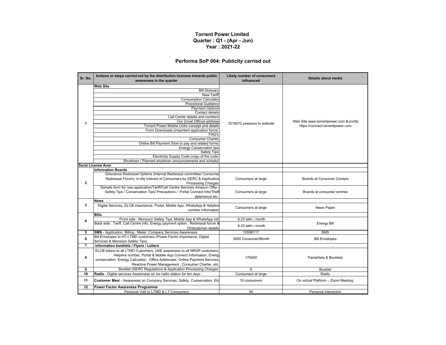#### **Performa SoP 004: Publicity carried out**

| Sr. No.        | Actions or steps carried out by the distribution licensee towards public<br>awareness in the quarter | <b>Likely number of consumers</b><br>influenced | Details about media                    |  |
|----------------|------------------------------------------------------------------------------------------------------|-------------------------------------------------|----------------------------------------|--|
|                | <b>Web Site</b>                                                                                      |                                                 |                                        |  |
|                | <b>Bill Glossary</b>                                                                                 |                                                 |                                        |  |
|                | <b>New Tariff</b>                                                                                    |                                                 |                                        |  |
|                | <b>Consumption Calculator</b>                                                                        |                                                 |                                        |  |
|                | <b>Procedural Guidance</b>                                                                           |                                                 |                                        |  |
|                | <b>Payment Options</b>                                                                               |                                                 |                                        |  |
|                | Contact details                                                                                      |                                                 |                                        |  |
|                | Call Center details and numbers<br>Our Zonal Offices address                                         |                                                 | Web Site www.torrentpower.com & portal |  |
| $\mathbf{1}$   | Torrent Power Mobile Links concept and details                                                       | 3218572 sessions to website                     | https://connect.torrentpower.com       |  |
|                | Form Downloads (important application forms                                                          |                                                 |                                        |  |
|                | FAQ's                                                                                                |                                                 |                                        |  |
|                | <b>Consumer Charter</b>                                                                              |                                                 |                                        |  |
|                | Online Bill Payment (how to pay and related forms                                                    |                                                 |                                        |  |
|                | <b>Energy Conservation tips</b>                                                                      |                                                 |                                        |  |
|                | <b>Safety Tips</b>                                                                                   |                                                 |                                        |  |
|                | Electricity Supply Code (copy of the code                                                            |                                                 |                                        |  |
|                | Shutdown / Planned shutdown announcements and schedul                                                |                                                 |                                        |  |
|                | Surat License Area                                                                                   |                                                 |                                        |  |
|                | <b>Information Boards</b>                                                                            |                                                 |                                        |  |
|                | Grievance Redressal Options (Internal Redressal committee/ Consumer                                  |                                                 |                                        |  |
|                | Redressal Forum), In the Interest of Consumers by GERC & Application                                 | Consumers at large                              | <b>Boards at Consumer Centers</b>      |  |
| $\mathbf 2$    | Processing Charges                                                                                   |                                                 |                                        |  |
|                | Sample form for new application/Tariff/Call Centre Services Amazon Offer                             |                                                 |                                        |  |
|                | Safety Tips / Conservation Tips/ Precautions / Portal Connect Info/Theft                             | Consumers at large                              | Boards at consumer centres             |  |
|                | deterrence etc.                                                                                      |                                                 |                                        |  |
|                | <b>News</b>                                                                                          |                                                 |                                        |  |
| 3              | Digital Services, ELCB importance, Portal, Mobile App, WhatsApp & Helpline                           | Consumers at large                              | News Paper                             |  |
|                | number information                                                                                   |                                                 |                                        |  |
|                | <b>Bills</b>                                                                                         |                                                 |                                        |  |
| 4              | Front side : Monsoon Safety Tips, Mobile App & WhatsApp info                                         | 6.23 lakh / month                               |                                        |  |
|                | Back side: Tariff, Call Centre Info, Energy payment option, Redressal forum &                        | 6.23 lakh / month                               | <b>Energy Bill</b>                     |  |
| 5              | Ombudsman details<br><b>SMS</b> - Application, Billing, Meter, Company Services Awareness.           | 10598117                                        | <b>SMS</b>                             |  |
|                | Bill Envelopes to HT-LTMD customers (Power Factor importance, Digital                                |                                                 |                                        |  |
| 6              | Services & Monsoon Safety Tips)                                                                      | 2600 Consumer/Month                             | <b>Bill Envelopes</b>                  |  |
| $\overline{7}$ | Information booklets / Flyers / Letters                                                              |                                                 |                                        |  |
|                | ELCB letters to all LTMD Customers. UAE awareness to all NRGP customers.                             |                                                 |                                        |  |
|                | Helpline number, Portal & Mobile App Connect Information, Energy                                     |                                                 |                                        |  |
| 8              | conservation, Energy Calculator, Office Addresses, Online Payment Services                           | 175000                                          | Pamphlets & Booklets                   |  |
|                | Reactive Power Management, Consumer Charter, etc.                                                    |                                                 |                                        |  |
| 9              | Booklet (GERC Regulations & Application Processing Charges                                           | 9                                               | Booklet                                |  |
| 10             | Radio - Digital services Awareness on six radio station for ten days                                 | Consumers at large                              | Radio                                  |  |
|                |                                                                                                      |                                                 |                                        |  |
| 11             | Customer Meet - Awareness on Company Services, Safety, Conservation, Etc.                            | 19 consumers                                    | On virtual Platform - Zoom Meeting     |  |
| 12             | <b>Power Factor Awareness Programme</b>                                                              |                                                 |                                        |  |
|                | Personal Visit to LTMD & LT Consumers                                                                | 94                                              | Personal Interaction                   |  |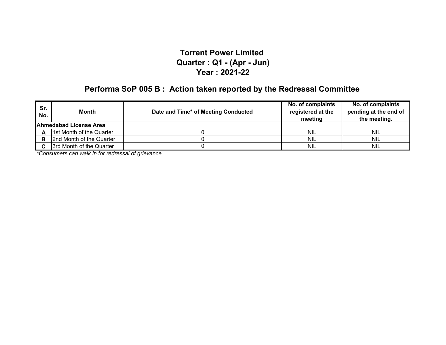# **Performa SoP 005 B : Action taken reported by the Redressal Committee**

| Sr.<br>No. | Month                         | Date and Time* of Meeting Conducted | No. of complaints<br>registered at the<br>meeting | No. of complaints<br>pending at the end of<br>the meeting. |
|------------|-------------------------------|-------------------------------------|---------------------------------------------------|------------------------------------------------------------|
|            | <b>Ahmedabad License Area</b> |                                     |                                                   |                                                            |
| А          | 1st Month of the Quarter      |                                     | <b>NIL</b>                                        | <b>NIL</b>                                                 |
| в          | 2nd Month of the Quarter      |                                     | <b>NIL</b>                                        | <b>NIL</b>                                                 |
| С          | 3rd Month of the Quarter      |                                     | <b>NIL</b>                                        | <b>NIL</b>                                                 |

*\*Consumers can walk in for redressal of grievance*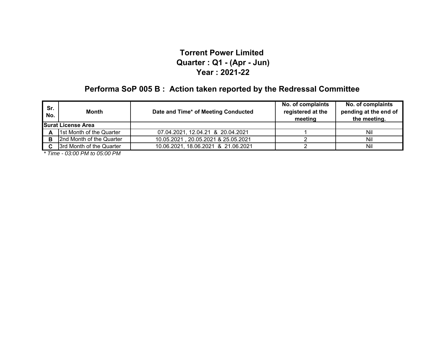# **Performa SoP 005 B : Action taken reported by the Redressal Committee**

| Sr.<br>No. | <b>Month</b>              | Date and Time* of Meeting Conducted | No. of complaints<br>registered at the<br>meeting | No. of complaints<br>pending at the end of<br>the meeting. |
|------------|---------------------------|-------------------------------------|---------------------------------------------------|------------------------------------------------------------|
|            | <b>Surat License Area</b> |                                     |                                                   |                                                            |
| A          | 1st Month of the Quarter  | 07.04.2021, 12.04.21 & 20.04.2021   |                                                   | Nil                                                        |
| в          | 2nd Month of the Quarter  | 10.05.2021, 20.05.2021 & 25.05.2021 |                                                   | Nil                                                        |
|            | 3rd Month of the Quarter  | 10.06.2021, 18.06.2021 & 21.06.2021 |                                                   | Nil                                                        |

*\* Time - 03:00 PM to 05:00 PM*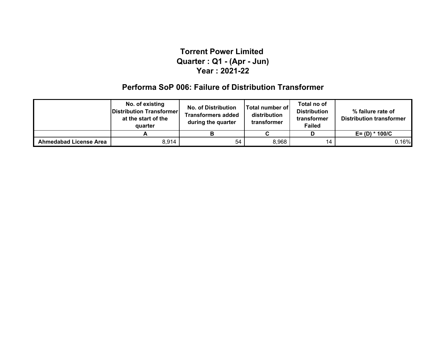## **Performa SoP 006: Failure of Distribution Transformer**

|                               | No. of existing<br>Distribution Transformer<br>at the start of the<br>quarter | <b>No. of Distribution</b><br><b>Transformers added</b><br>during the quarter | <b>Total number of</b><br>distribution<br>transformer | Total no of<br><b>Distribution</b><br>transformer<br>Failed | % failure rate of<br><b>Distribution transformer</b> |  |
|-------------------------------|-------------------------------------------------------------------------------|-------------------------------------------------------------------------------|-------------------------------------------------------|-------------------------------------------------------------|------------------------------------------------------|--|
|                               |                                                                               |                                                                               |                                                       |                                                             | $E = (D) * 100/C$                                    |  |
| <b>Ahmedabad License Area</b> | 8,914                                                                         | 54                                                                            | 8,968                                                 | 14                                                          | 0.16%                                                |  |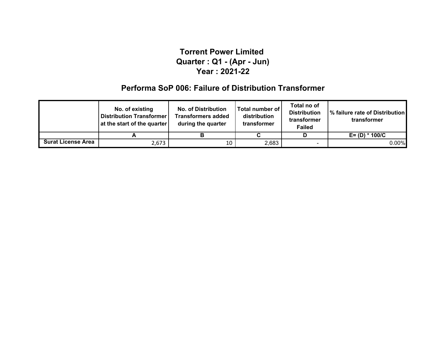## **Performa SoP 006: Failure of Distribution Transformer**

|                           | No. of existing<br><b>Distribution Transformer</b><br>at the start of the quarter | <b>No. of Distribution</b><br><b>Transformers added</b><br>during the quarter | Total number of<br>distribution<br>transformer | Total no of<br><b>Distribution</b><br>transformer<br><b>Failed</b> | % failure rate of Distribution<br>transformer |
|---------------------------|-----------------------------------------------------------------------------------|-------------------------------------------------------------------------------|------------------------------------------------|--------------------------------------------------------------------|-----------------------------------------------|
|                           |                                                                                   |                                                                               |                                                | D                                                                  | $E = (D) * 100/C$                             |
| <b>Surat License Area</b> | 2,673                                                                             | 10                                                                            | 2,683                                          |                                                                    | $0.00\%$                                      |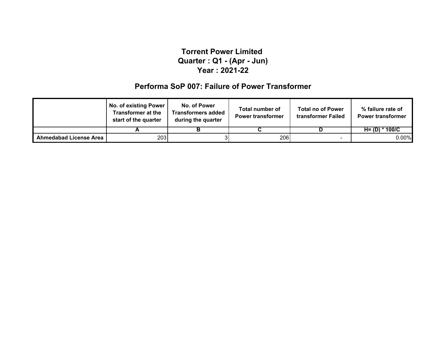### **Performa SoP 007: Failure of Power Transformer**

|                               | <b>No. of existing Power</b><br><b>Transformer at the</b><br>start of the quarter | No. of Power<br><b>Transformers added</b><br>during the quarter | Total number of<br><b>Power transformer</b> | <b>Total no of Power</b><br>transformer Failed | % failure rate of<br><b>Power transformer</b> |
|-------------------------------|-----------------------------------------------------------------------------------|-----------------------------------------------------------------|---------------------------------------------|------------------------------------------------|-----------------------------------------------|
|                               |                                                                                   |                                                                 |                                             |                                                | $H = (D) * 100/C$                             |
| <b>Ahmedabad License Area</b> | 2031                                                                              |                                                                 | 206 l                                       |                                                | $0.00\%$                                      |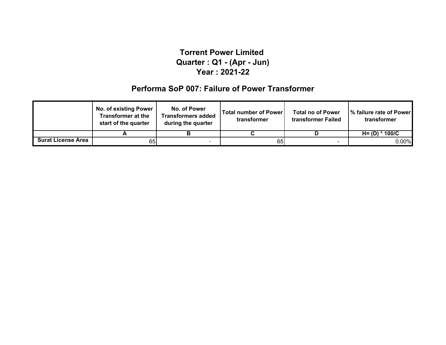## **Performa SoP 007: Failure of Power Transformer**

|                           | <b>No. of existing Power</b><br><b>Transformer at the</b><br>start of the quarter |  | <b>Total number of Power</b><br>transformer | <b>Total no of Power</b><br>transformer Failed | % failure rate of Power<br>transformer |  |
|---------------------------|-----------------------------------------------------------------------------------|--|---------------------------------------------|------------------------------------------------|----------------------------------------|--|
|                           |                                                                                   |  |                                             |                                                | $H = (D) * 100/C$                      |  |
| <b>Surat License Area</b> | 65I                                                                               |  | 65                                          | $\overline{\phantom{0}}$                       | $0.00\%$                               |  |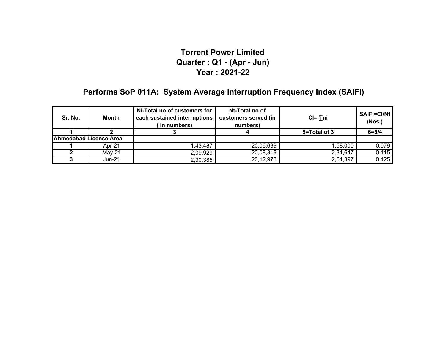# **Performa SoP 011A: System Average Interruption Frequency Index (SAIFI)**

| <b>Month</b><br>Sr. No. |        | Ni-Total no of customers for<br>each sustained interruptions<br>(in numbers) | Nt-Total no of<br>customers served (in<br>numbers) | $CI = \sum n_i$ | SAIFI=CI/Nt<br>(Nos.) |
|-------------------------|--------|------------------------------------------------------------------------------|----------------------------------------------------|-----------------|-----------------------|
|                         |        |                                                                              |                                                    | 5=Total of 3    | $6 = 5/4$             |
| Ahmedabad License Area  |        |                                                                              |                                                    |                 |                       |
|                         | Apr-21 | 1,43,487                                                                     | 20,06,639                                          | 58,000          | 0.079                 |
|                         | Mav-21 | 2,09,929                                                                     | 20,08,319                                          | 2,31,647        | 0.115                 |
|                         | Jun-21 | 2,30,385                                                                     | 20,12,978                                          | 2,51,397        | 0.125                 |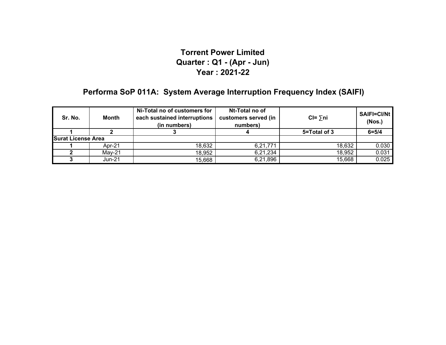# **Performa SoP 011A: System Average Interruption Frequency Index (SAIFI)**

| <b>Month</b><br>Sr. No.   |        | Ni-Total no of customers for<br>each sustained interruptions<br>(in numbers) | Nt-Total no of<br>customers served (in<br>numbers) | $CI = \sum n_i$ | SAIFI=CI/Nt<br>(Nos.) |
|---------------------------|--------|------------------------------------------------------------------------------|----------------------------------------------------|-----------------|-----------------------|
|                           |        |                                                                              |                                                    | 5=Total of 3    | $6 = 5/4$             |
| <b>Surat License Area</b> |        |                                                                              |                                                    |                 |                       |
|                           | Apr-21 | 18,632                                                                       | 6,21,771                                           | 18,632          | 0.030                 |
|                           | Mav-21 | 18,952                                                                       | 6,21,234                                           | 18,952          | 0.031                 |
|                           | Jun-21 | 15,668                                                                       | 6,21,896                                           | 15,668          | 0.025                 |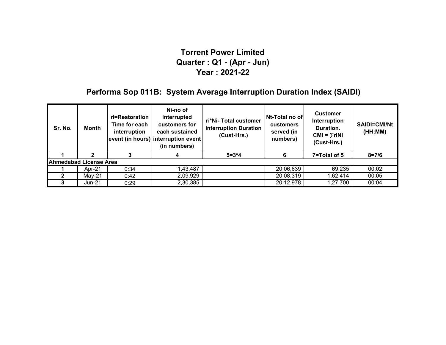# **Performa Sop 011B: System Average Interruption Duration Index (SAIDI)**

| Sr. No.                       | Month    | ri=Restoration<br>Time for each<br>interruption | Ni-no of<br>interrupted<br>customers for<br>each sustained<br>event (in hours) interruption event<br>(in numbers) | ri*Ni- Total customer<br>interruption Duration<br>(Cust-Hrs.) | Nt-Total no of<br>customers<br>served (in<br>numbers) | <b>Customer</b><br>Interruption<br>Duration.<br>$CMI = \sum r i Ni$<br>(Cust-Hrs.) | SAIDI=CMI/Nt<br>(HH:MM) |  |
|-------------------------------|----------|-------------------------------------------------|-------------------------------------------------------------------------------------------------------------------|---------------------------------------------------------------|-------------------------------------------------------|------------------------------------------------------------------------------------|-------------------------|--|
|                               |          |                                                 | 4                                                                                                                 | $5 = 3*4$                                                     | 6                                                     | 7=Total of 5                                                                       | $8 = 7/6$               |  |
| <b>Ahmedabad License Area</b> |          |                                                 |                                                                                                                   |                                                               |                                                       |                                                                                    |                         |  |
|                               | Apr-21   | 0:34                                            | 1,43,487                                                                                                          |                                                               | 20,06,639                                             | 69,235                                                                             | 00:02                   |  |
|                               | $May-21$ | 0:42                                            | 2,09,929                                                                                                          |                                                               | 20,08,319                                             | 1,62,414                                                                           | 00:05                   |  |
|                               | Jun-21   | 0:29                                            | 2,30,385                                                                                                          |                                                               | 20,12,978                                             | 1,27,700                                                                           | 00:04                   |  |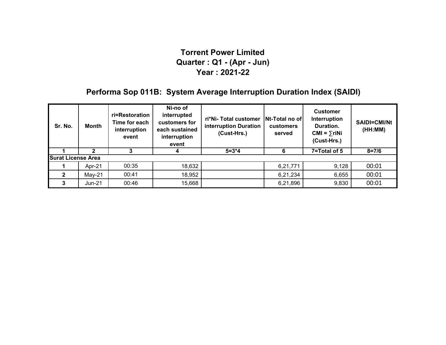# **Performa Sop 011B: System Average Interruption Duration Index (SAIDI)**

| Sr. No. | Month                     | ri=Restoration<br>Time for each<br>interruption<br>event | Ni-no of<br>interrupted<br>customers for<br>each sustained<br>interruption<br>event | ri*Ni- Total customer<br>interruption Duration<br>(Cust-Hrs.) | Nt-Total no of<br><b>customers</b><br>served | <b>Customer</b><br>Interruption<br>Duration.<br>$CMI = \sum r i Ni$<br>(Cust-Hrs.) | <b>SAIDI=CMI/Nt</b><br>(HH:MM) |  |  |
|---------|---------------------------|----------------------------------------------------------|-------------------------------------------------------------------------------------|---------------------------------------------------------------|----------------------------------------------|------------------------------------------------------------------------------------|--------------------------------|--|--|
|         |                           |                                                          | 4                                                                                   | $5 = 3*4$                                                     | 6                                            | 7=Total of 5                                                                       | $8 = 7/6$                      |  |  |
|         | <b>Surat License Area</b> |                                                          |                                                                                     |                                                               |                                              |                                                                                    |                                |  |  |
|         | Apr-21                    | 00:35                                                    | 18,632                                                                              |                                                               | 6,21,771                                     | 9,128                                                                              | 00:01                          |  |  |
|         | $May-21$                  | 00:41                                                    | 18,952                                                                              |                                                               | 6,21,234                                     | 6,655                                                                              | 00:01                          |  |  |
|         | $Jun-21$                  | 00:46                                                    | 15,668                                                                              |                                                               | 6,21,896                                     | 9,830                                                                              | 00:01                          |  |  |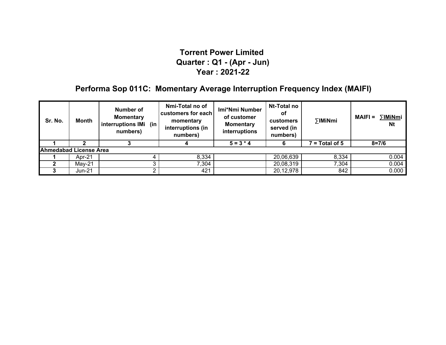# **Performa Sop 011C: Momentary Average Interruption Frequency Index (MAIFI)**

| Sr. No.                       | Month    | Number of<br><b>Momentary</b><br>interruptions IMi (in<br>numbers) | Nmi-Total no of<br>customers for each<br>momentary<br>interruptions (in<br>numbers) | Imi*Nmi Number<br>of customer<br><b>Momentary</b><br>interruptions | Nt-Total no<br>οt<br>customers<br>served (in<br>numbers) | ∑lMiNmi          | ∑IMiNmi<br>$MAIFI =$<br><b>Nt</b> |
|-------------------------------|----------|--------------------------------------------------------------------|-------------------------------------------------------------------------------------|--------------------------------------------------------------------|----------------------------------------------------------|------------------|-----------------------------------|
|                               |          |                                                                    |                                                                                     | $5 = 3 * 4$                                                        | 6                                                        | $7 = Total of 5$ | $8 = 7/6$                         |
| <b>Ahmedabad License Area</b> |          |                                                                    |                                                                                     |                                                                    |                                                          |                  |                                   |
|                               | Apr-21   |                                                                    | 8,334                                                                               |                                                                    | 20,06,639                                                | 8,334            | 0.004                             |
|                               | $May-21$ |                                                                    | 7,304                                                                               |                                                                    | 20,08,319                                                | 7,304            | 0.004                             |
|                               | Jun-21   |                                                                    | 421                                                                                 |                                                                    | 20,12,978                                                | 842              | 0.000                             |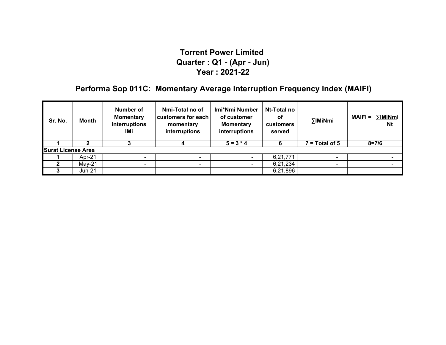# **Performa Sop 011C: Momentary Average Interruption Frequency Index (MAIFI)**

| Sr. No.                   | Month    | Number of<br><b>Momentary</b><br>interruptions<br>IMi | Nmi-Total no of<br>customers for each<br>momentary<br>interruptions | Imi*Nmi Number<br>of customer<br><b>Momentary</b><br>interruptions | Nt-Total no<br>оf<br>customers<br>served | ∑IMiNmi                  | $\Sigma$ IMiNmi<br><b>MAIFI =</b><br><b>Nt</b> |
|---------------------------|----------|-------------------------------------------------------|---------------------------------------------------------------------|--------------------------------------------------------------------|------------------------------------------|--------------------------|------------------------------------------------|
|                           |          |                                                       |                                                                     | $5 = 3 * 4$                                                        |                                          | $7 = Total of 5$         | $8 = 7/6$                                      |
| <b>Surat License Area</b> |          |                                                       |                                                                     |                                                                    |                                          |                          |                                                |
|                           | Apr-21   | -                                                     |                                                                     |                                                                    | 6,21,771                                 | -                        |                                                |
|                           | $May-21$ | -                                                     |                                                                     |                                                                    | 6,21,234                                 | -                        |                                                |
|                           | Jun-21   | $\blacksquare$                                        |                                                                     |                                                                    | 6,21,896                                 | $\overline{\phantom{0}}$ |                                                |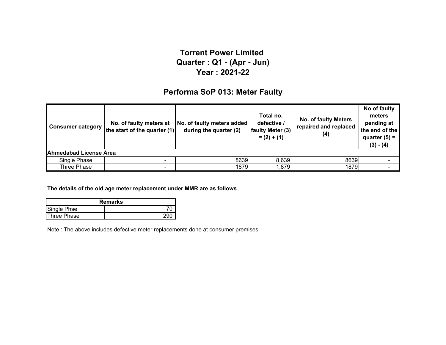#### **Performa SoP 013: Meter Faulty**

| <b>Consumer category</b> | No. of faulty meters at<br>the start of the quarter $(1)$ | No. of faulty meters added<br>during the quarter (2) | Total no.<br>defective /<br>faulty Meter (3)<br>$= (2) + (1)$ | <b>No. of faulty Meters</b><br>repaired and replaced<br>(4) | No of faulty<br>meters<br>pending at<br>the end of the<br>quarter $(5) =$<br>$(3) - (4)$ |  |  |  |
|--------------------------|-----------------------------------------------------------|------------------------------------------------------|---------------------------------------------------------------|-------------------------------------------------------------|------------------------------------------------------------------------------------------|--|--|--|
| Ahmedabad License Area   |                                                           |                                                      |                                                               |                                                             |                                                                                          |  |  |  |
| Single Phase             |                                                           | 8639                                                 | 8,639                                                         | 8639                                                        |                                                                                          |  |  |  |
| Three Phase              | $\overline{\phantom{a}}$                                  | 1879                                                 | 1,879                                                         | 1879                                                        |                                                                                          |  |  |  |

**The details of the old age meter replacement under MMR are as follows**

| <b>Remarks</b> |     |  |  |  |  |
|----------------|-----|--|--|--|--|
| Single Phse    |     |  |  |  |  |
| Three Phase    | 29u |  |  |  |  |

Note : The above includes defective meter replacements done at consumer premises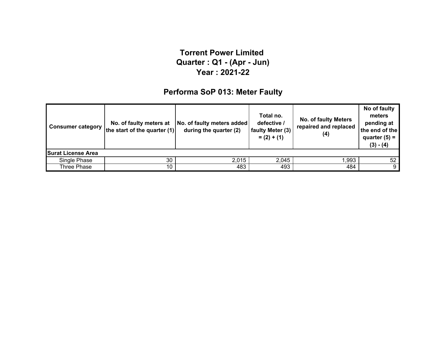# **Performa SoP 013: Meter Faulty**

| <b>Consumer category</b>  | No. of faulty meters at<br>the start of the quarter $(1)$ | No. of faulty meters added<br>during the quarter (2) | Total no.<br>defective /<br>faulty Meter (3)<br>$= (2) + (1)$ | <b>No. of faulty Meters</b><br>repaired and replaced<br>(4) | No of faulty<br>meters<br>pending at<br>the end of the<br>quarter $(5)$ =<br>$(3) - (4)$ |  |  |  |  |
|---------------------------|-----------------------------------------------------------|------------------------------------------------------|---------------------------------------------------------------|-------------------------------------------------------------|------------------------------------------------------------------------------------------|--|--|--|--|
| <b>Surat License Area</b> |                                                           |                                                      |                                                               |                                                             |                                                                                          |  |  |  |  |
| Single Phase              | 30                                                        | 2,015                                                | 2,045                                                         | 1.993                                                       | 52 <sub>2</sub>                                                                          |  |  |  |  |
| Three Phase               | 10                                                        | 483                                                  | 493                                                           | 484                                                         | 9                                                                                        |  |  |  |  |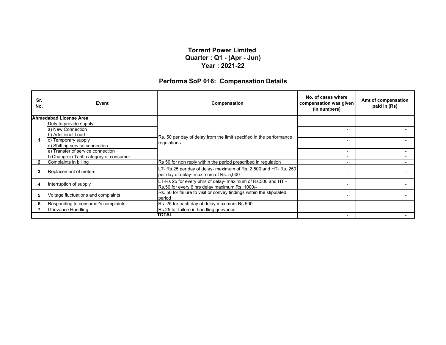#### **Performa SoP 016: Compensation Details**

| Sr.<br>No.   | Event                                    | Compensation                                                                                                   | No. of cases where<br>compensation was given<br>(in numbers) | Amt of compensation<br>paid in (Rs) |
|--------------|------------------------------------------|----------------------------------------------------------------------------------------------------------------|--------------------------------------------------------------|-------------------------------------|
|              | Ahmedabad License Area                   |                                                                                                                |                                                              |                                     |
|              | Duty to provide supply                   |                                                                                                                |                                                              |                                     |
|              | a) New Connection                        |                                                                                                                |                                                              |                                     |
|              | b) Additional Load                       | Rs. 50 per day of delay from the limit specified in the performance                                            |                                                              |                                     |
|              | c) Temporary supply                      | regulations                                                                                                    |                                                              |                                     |
|              | d) Shifting service connection           |                                                                                                                |                                                              |                                     |
|              | e) Transfer of service connection        |                                                                                                                |                                                              |                                     |
|              | f) Change in Tariff category of consumer |                                                                                                                |                                                              |                                     |
| $\mathbf{2}$ | Complaints in billing                    | Rs 50 for non reply within the period prescribed in regulation                                                 |                                                              |                                     |
|              | Replacement of meters                    | LT- Rs.25 per day of delay- maximum of Rs. 2,500 and HT- Rs. 250<br>per day of delay- maximum of Rs. 5,000     |                                                              |                                     |
|              | Interruption of supply                   | LT-Rs 25 for every 6hrs of delay- maximum of Rs.500 and HT -<br>Rs.50 for every 6 hrs delay maximum Rs. 1000/- |                                                              |                                     |
|              | Voltage fluctuations and complaints      | Rs. 50 for failure to visit or convey findings within the stipulated<br>period                                 |                                                              |                                     |
|              | Responding to consumer's complaints      | Rs. 25 for each day of delay maximum Rs.500                                                                    |                                                              |                                     |
|              | Grievance Handling                       | Rs.25 for failure in handling grievance.                                                                       |                                                              |                                     |
|              |                                          | TOTAL                                                                                                          |                                                              |                                     |